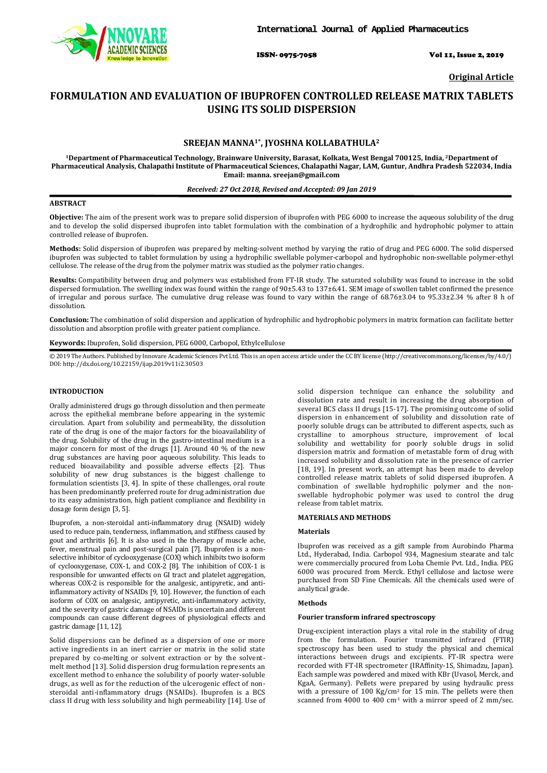

ISSN- 0975-7058 Vol 11, Issue 2, 2019

**Original Article**

# **FORMULATION AND EVALUATION OF IBUPROFEN CONTROLLED RELEASE MATRIX TABLETS USING ITS SOLID DISPERSION**

# **SREEJAN MANNA1\*, JYOSHNA KOLLABATHULA2**

**1Department of Pharmaceutical Technology, Brainware University, Barasat, Kolkata, West Bengal 700125, India, 2 Department of Pharmaceutical Analysis, Chalapathi Institute of Pharmaceutical Sciences, Chalapathi Nagar, LAM, Guntur, Andhra Pradesh 522034, India Email: manna. sreejan@gmail.com**

### *Received: 27 Oct 2018, Revised and Accepted: 09 Jan 2019*

#### **ABSTRACT**

**Objective:** The aim of the present work was to prepare solid dispersion of ibuprofen with PEG 6000 to increase the aqueous solubility of the drug and to develop the solid dispersed ibuprofen into tablet formulation with the combination of a hydrophilic and hydrophobic polymer to attain controlled release of ibuprofen.

**Methods:** Solid dispersion of ibuprofen was prepared by melting-solvent method by varying the ratio of drug and PEG 6000. The solid dispersed ibuprofen was subjected to tablet formulation by using a hydrophilic swellable polymer-carbopol and hydrophobic non-swellable polymer-ethyl cellulose. The release of the drug from the polymer matrix was studied as the polymer ratio changes.

**Results:** Compatibility between drug and polymers was established from FT-IR study. The saturated solubility was found to increase in the solid dispersed formulation. The swelling index was found within the range of 90±5.43 to 137±6.41. SEM image of swollen tablet confirmed the presence of irregular and porous surface. The cumulative drug release was found to vary within the range of 68.76±3.04 to 95.33±2.34 % after 8 h of dissolution.

**Conclusion:** The combination of solid dispersion and application of hydrophilic and hydrophobic polymers in matrix formation can facilitate better dissolution and absorption profile with greater patient compliance.

### **Keywords:** Ibuprofen, Solid dispersion, PEG 6000, Carbopol, Ethylcellulose

© 2019 The Authors. Published by Innovare Academic Sciences Pvt Ltd. This is an open access article under the CC BY license [\(http://creativecommons.org/licenses/by/4.0/\)](http://creativecommons.org/licenses/by/4.0/) DOI: http://dx.doi.org/10.22159/ijap.2019v11i2.30503

# **INTRODUCTION**

Orally administered drugs go through dissolution and then permeate across the epithelial membrane before appearing in the systemic circulation. Apart from solubility and permeability, the dissolution rate of the drug is one of the major factors for the bioavailability of the drug. Solubility of the drug in the gastro-intestinal medium is a major concern for most of the drugs [1]. Around 40 % of the new drug substances are having poor aqueous solubility. This leads to reduced bioavailability and possible adverse effects [2]. Thus solubility of new drug substances is the biggest challenge to formulation scientists [3, 4]. In spite of these challenges, oral route has been predominantly preferred route for drug administration due to its easy administration, high patient compliance and flexibility in dosage form design [3, 5].

Ibuprofen, a non-steroidal anti-inflammatory drug (NSAID) widely used to reduce pain, tenderness, inflammation, and stiffness caused by gout and arthritis [6]. It is also used in the therapy of muscle ache, fever, menstrual pain and post-surgical pain [7]. Ibuprofen is a nonselective inhibitor of cyclooxygenase (COX) which inhibits two isoform of cyclooxygenase, COX-1, and COX-2 [8]. The inhibition of COX-1 is responsible for unwanted effects on GI tract and platelet aggregation, whereas COX-2 is responsible for the analgesic, antipyretic, and antiinflammatory activity of NSAIDs [9, 10]. However, the function of each isoform of COX on analgesic, antipyretic, anti-inflammatory activity, and the severity of gastric damage of NSAIDs is uncertain and different compounds can cause different degrees of physiological effects and gastric damage [11, 12].

Solid dispersions can be defined as a dispersion of one or more active ingredients in an inert carrier or matrix in the solid state prepared by co-melting or solvent extraction or by the solventmelt method [13]. Solid dispersion drug formulation represents an excellent method to enhance the solubility of poorly water-soluble drugs, as well as for the reduction of the ulcerogenic effect of nonsteroidal anti-inflammatory drugs (NSAIDs). Ibuprofen is a BCS class II drug with less solubility and high permeability [14]. Use of solid dispersion technique can enhance the solubility and dissolution rate and result in increasing the drug absorption of several BCS class II drugs [15-17]. The promising outcome of solid dispersion in enhancement of solubility and dissolution rate of poorly soluble drugs can be attributed to different aspects, such as crystalline to amorphous structure, improvement of local solubility and wettability for poorly soluble drugs in solid dispersion matrix and formation of metastable form of drug with increased solubility and dissolution rate in the presence of carrier [18, 19]. In present work, an attempt has been made to develop controlled release matrix tablets of solid dispersed ibuprofen. A combination of swellable hydrophilic polymer and the nonswellable hydrophobic polymer was used to control the drug release from tablet matrix.

# **MATERIALS AND METHODS**

# **Materials**

Ibuprofen was received as a gift sample from Aurobindo Pharma Ltd., Hyderabad, India. Carbopol 934, Magnesium stearate and talc were commercially procured from Loba Chemie Pvt. Ltd., India. PEG 6000 was procured from Merck. Ethyl cellulose and lactose were purchased from SD Fine Chemicals. All the chemicals used were of analytical grade.

### **Methods**

#### **Fourier transform infrared spectroscopy**

Drug-excipient interaction plays a vital role in the stability of drug from the formulation. Fourier transmitted infrared (FTIR) spectroscopy has been used to study the physical and chemical interactions between drugs and excipients. FT-IR spectra were recorded with FT-IR spectrometer (IRAffinity-1S, Shimadzu, Japan). Each sample was powdered and mixed with KBr (Uvasol, Merck, and KgaA, Germany). Pellets were prepared by using hydraulic press with a pressure of 100  $\text{Kg/cm}^2$  for 15 min. The pellets were then scanned from 4000 to 400  $cm<sup>-1</sup>$  with a mirror speed of 2 mm/sec.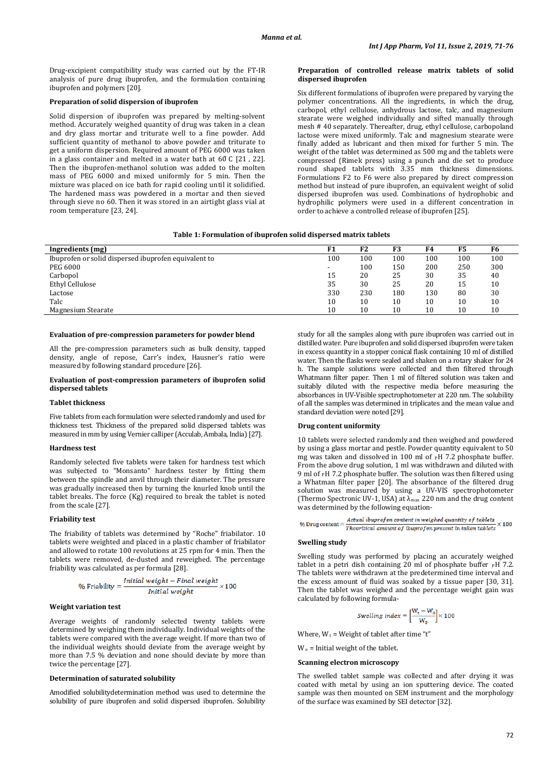Drug-excipient compatibility study was carried out by the FT-IR analysis of pure drug ibuprofen, and the formulation containing ibuprofen and polymers [20].

# **Preparation of solid dispersion of ibuprofen**

Solid dispersion of ibuprofen was prepared by melting-solvent method. Accurately weighed quantity of drug was taken in a clean and dry glass mortar and triturate well to a fine powder. Add sufficient quantity of methanol to above powder and triturate to get a uniform dispersion. Required amount of PEG 6000 was taken in a glass container and melted in a water bath at  $60 \text{ C}$  [21, 22]. Then the ibuprofen-methanol solution was added to the molten mass of PEG 6000 and mixed uniformly for 5 min. Then the mixture was placed on ice bath for rapid cooling until it solidified. The hardened mass was powdered in a mortar and then sieved through sieve no 60. Then it was stored in an airtight glass vial at room temperature [23, 24].

#### **Preparation of controlled release matrix tablets of solid dispersed ibuprofen**

Six different formulations of ibuprofen were prepared by varying the polymer concentrations. All the ingredients, in which the drug, carbopol, ethyl cellulose, anhydrous lactose, talc, and magnesium stearate were weighed individually and sifted manually through mesh # 40 separately. Thereafter, drug, ethyl cellulose, carbopoland lactose were mixed uniformly. Talc and magnesium stearate were finally added as lubricant and then mixed for further 5 min. The weight of the tablet was determined as 500 mg and the tablets were compressed (Rimek press) using a punch and die set to produce round shaped tablets with 3.35 mm thickness dimensions. Formulations F2 to F6 were also prepared by direct compression method but instead of pure ibuprofen, an equivalent weight of solid dispersed ibuprofen was used. Combinations of hydrophobic and hydrophilic polymers were used in a different concentration in order to achieve a controlled release of ibuprofen [25].

# **Table 1: Formulation of ibuprofen solid dispersed matrix tablets**

| Ingredients (mg)                                     |     | F <sub>2</sub> | F3  | F4  | F5  | F6  |
|------------------------------------------------------|-----|----------------|-----|-----|-----|-----|
| Ibuprofen or solid dispersed ibuprofen equivalent to |     | 100            | 100 | 100 | 100 | 100 |
| PEG 6000                                             |     | 100            | 150 | 200 | 250 | 300 |
| Carbopol                                             | 15  | 20             | 25  | 30  | 35  | 40  |
| Ethyl Cellulose                                      | 35  | 30             | 25  | 20  | 15  | 10  |
| Lactose                                              | 330 | 230            | 180 | 130 | 80  | 30  |
| Talc                                                 | 10  | 10             | 10  | 10  | 10  | 10  |
| Magnesium Stearate                                   | 10  | 10             | 10  | 10  | 10  | 10  |

#### **Evaluation of pre-compression parameters for powder blend**

All the pre-compression parameters such as bulk density, tapped density, angle of repose, Carr's index, Hausner's ratio were measured by following standard procedure [26].

#### **Evaluation of post-compression parameters of ibuprofen solid dispersed tablets**

## **Tablet thickness**

Five tablets from each formulation were selected randomly and used for thickness test. Thickness of the prepared solid dispersed tablets was measured in mm by using Vernier calliper (Acculab, Ambala, India) [27].

### **Hardness test**

Randomly selected five tablets were taken for hardness test which was subjected to "Monsanto" hardness tester by fitting them between the spindle and anvil through their diameter. The pressure was gradually increased then by turning the knurled knob until the tablet breaks. The force (Kg) required to break the tablet is noted from the scale [27].

### **Friability test**

The friability of tablets was determined by "Roche" friabilator. 10 tablets were weighted and placed in a plastic chamber of friabilator and allowed to rotate 100 revolutions at 25 rpm for 4 min. Then the tablets were removed, de-dusted and reweighed. The percentage friability was calculated as per formula [28].

$$
\% \text{ Friability} = \frac{Initial\ weight - Final\ weight}{Initial\ weight} \times 100
$$

#### **Weight variation test**

Average weights of randomly selected twenty tablets were determined by weighing them individually. Individual weights of the tablets were compared with the average weight. If more than two of the individual weights should deviate from the average weight by more than 7.5 % deviation and none should deviate by more than twice the percentage [27].

# **Determination of saturated solubility**

Amodified solubilitydetermination method was used to determine the solubility of pure ibuprofen and solid dispersed ibuprofen. Solubility

study for all the samples along with pure ibuprofen was carried out in distilled water. Pure ibuprofen and solid dispersed ibuprofen were taken in excess quantity in a stopper conical flask containing 10 ml of distilled water. Then the flasks were sealed and shaken on a rotary shaker for 24 h. The sample solutions were collected and then filtered through Whatmann filter paper. Then 1 ml of filtered solution was taken and suitably diluted with the respective media before measuring the absorbances in UV-Visible spectrophotometer at 220 nm. The solubility of all the samples was determined in triplicates and the mean value and standard deviation were noted [29].

# **Drug content uniformity**

10 tablets were selected randomly and then weighed and powdered by using a glass mortar and pestle. Powder quantity equivalent to 50 mg was taken and dissolved in 100 ml of  $\hat{P}H$  7.2 phosphate buffer. From the above drug solution, 1 ml was withdrawn and diluted with 9 ml of PH 7.2 phosphate buffer. The solution was then filtered using a Whatman filter paper [20]. The absorbance of the filtered drug solution was measured by using a UV-VIS spectrophotometer (Thermo Spectronic UV-1, USA) at  $\lambda_{\text{max}}$  220 nm and the drug content was determined by the following equation-

% Drug content =  $\frac{Actual\;bupper}$  fen content in weighed quantity of tablets  $\times 100$ 

#### **Swelling study**

Swelling study was performed by placing an accurately weighed tablet in a petri dish containing 20 ml of phosphate buffer  $p$ H 7.2. The tablets were withdrawn at the predetermined time interval and the excess amount of fluid was soaked by a tissue paper [30, 31]. Then the tablet was weighed and the percentage weight gain was calculated by following formula-

$$
\textit{Swelling index} = \Big[\frac{W_t - W_0}{W_0}\Big] \times 100
$$

Where,  $W_t$  = Weight of tablet after time "t"

 $W_0$  = Initial weight of the tablet.

#### **Scanning electron microscopy**

The swelled tablet sample was collected and after drying it was coated with metal by using an ion sputtering device. The coated sample was then mounted on SEM instrument and the morphology of the surface was examined by SEI detector [32].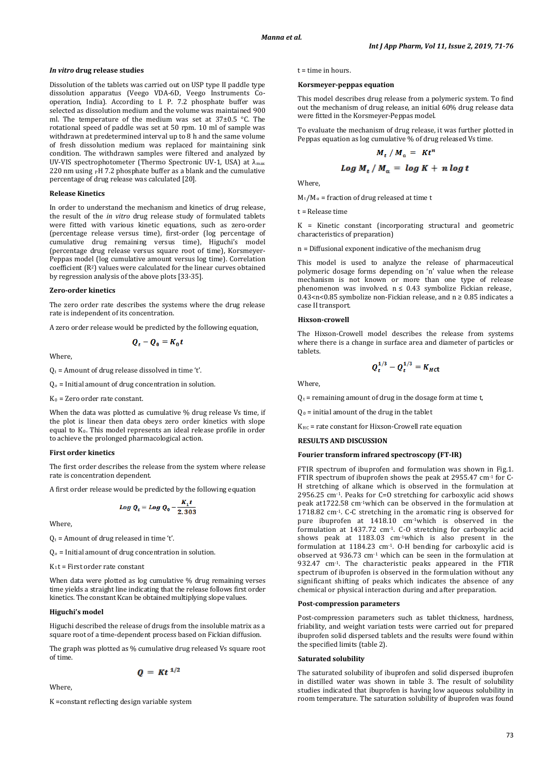ŧ

#### *In vitro* **drug release studies**

Dissolution of the tablets was carried out on USP type II paddle type dissolution apparatus (Veego VDA-6D, Veego Instruments Cooperation, India). According to I. P. 7.2 phosphate buffer was selected as dissolution medium and the volume was maintained 900 ml. The temperature of the medium was set at  $37\pm0.5$  °C. The rotational speed of paddle was set at 50 rpm. 10 ml of sample was withdrawn at predetermined interval up to 8 h and the same volume of fresh dissolution medium was replaced for maintaining sink condition. The withdrawn samples were filtered and analyzed by UV-VIS spectrophotometer (Thermo Spectronic UV-1, USA) at  $\lambda_{\text{max}}$ 220 nm using  $\rm$ <sub>P</sub>H 7.2 phosphate buffer as a blank and the cumulative percentage of drug release was calculated [20].

#### **Release Kinetics**

In order to understand the mechanism and kinetics of drug release, the result of the *in vitro* drug release study of formulated tablets were fitted with various kinetic equations, such as zero-order (percentage release versus time), first-order (log percentage of cumulative drug remaining versus time), Higuchi's model (percentage drug release versus square root of time), Korsmeyer-Peppas model (log cumulative amount versus log time). Correlation coefficient (R2) values were calculated for the linear curves obtained by regression analysis of the above plots [33-35].

# **Zero-order kinetics**

The zero order rate describes the systems where the drug release rate is independent of its concentration.

A zero order release would be predicted by the following equation,

$$
Q_t - Q_0 = K_0 t
$$

Where,

 $Q_t$  = Amount of drug release dissolved in time 't'.

 $Q_0$  = Initial amount of drug concentration in solution.

 $K_0$  = Zero order rate constant.

When the data was plotted as cumulative % drug release Vs time, if the plot is linear then data obeys zero order kinetics with slope equal to  $K_0$ . This model represents an ideal release profile in order to achieve the prolonged pharmacological action.

#### **First order kinetics**

The first order describes the release from the system where release rate is concentration dependent.

A first order release would be predicted by the following equation

$$
Log Q_t = Log Q_0 - \frac{K_1 t}{2.303}
$$

Where,

 $Q_t$  = Amount of drug released in time 't'.

Qo = Initial amount of drug concentration in solution.

K1t = First order rate constant

When data were plotted as log cumulative % drug remaining verses time yields a straight line indicating that the release follows first order kinetics. The constant Kcan be obtained multiplying slope values.

#### **Higuchi's model**

Higuchi described the release of drugs from the insoluble matrix as a square root of a time-dependent process based on Fickian diffusion.

The graph was plotted as % cumulative drug released Vs square root of time.

$$
Q = K t^{1/2}
$$

Where,

K =constant reflecting design variable system

 $t =$  time in hours.

#### **Korsmeyer-peppas equation**

This model describes drug release from a polymeric system. To find out the mechanism of drug release, an initial 60% drug release data were fitted in the Korsmeyer-Peppas model.

To evaluate the mechanism of drug release, it was further plotted in Peppas equation as log cumulative % of drug released Vs time.

$$
M_t / M_\alpha = Kt^n
$$
  

$$
Log M_t / M_\alpha = log K + n log
$$

Where,

 $M_t/M_\alpha$  = fraction of drug released at time t

t = Release time

K = Kinetic constant (incorporating structural and geometric characteristics of preparation)

n = Diffusional exponent indicative of the mechanism drug

This model is used to analyze the release of pharmaceutical polymeric dosage forms depending on 'n' value when the release mechanism is not known or more than one type of release phenomenon was involved.  $n \leq 0.43$  symbolize Fickian release, 0.43<n<0.85 symbolize non-Fickian release, and  $n \ge 0.85$  indicates a case II transport.

#### **Hixson-crowell**

The Hixson-Crowell model describes the release from systems where there is a change in surface area and diameter of particles or tablets.

$$
Q_t^{1/3} - Q_t^{1/3} = K_{Hct}
$$

Where,

 $Q_t$  = remaining amount of drug in the dosage form at time t,

 $Q_0$  = initial amount of the drug in the tablet

KHC = rate constant for Hixson-Crowell rate equation

# **RESULTS AND DISCUSSION**

### **Fourier transform infrared spectroscopy (FT-IR)**

FTIR spectrum of ibuprofen and formulation was shown in Fig.1. FTIR spectrum of ibuprofen shows the peak at 2955.47 cm<sup>-1</sup> for C-H stretching of alkane which is observed in the formulation at 2956.25 cm-1. Peaks for C=O stretching for carboxylic acid shows peak at1722.58 cm-1which can be observed in the formulation at 1718.82 cm-1. C-C stretching in the aromatic ring is observed for pure ibuprofen at 1418.10 cm-1which is observed in the formulation at 1437.72 cm-1. C-O stretching for carboxylic acid shows peak at 1183.03 cm-1which is also present in the formulation at 1184.23 cm-1. O-H bending for carboxylic acid is observed at 936.73 cm-1 which can be seen in the formulation at 932.47 cm-1 . The characteristic peaks appeared in the FTIR spectrum of ibuprofen is observed in the formulation without any significant shifting of peaks which indicates the absence of any chemical or physical interaction during and after preparation.

# **Post-compression parameters**

Post-compression parameters such as tablet thickness, hardness, friability, and weight variation tests were carried out for prepared ibuprofen solid dispersed tablets and the results were found within the specified limits (table 2).

#### **Saturated solubility**

The saturated solubility of ibuprofen and solid dispersed ibuprofen in distilled water was shown in table 3. The result of solubility studies indicated that ibuprofen is having low aqueous solubility in room temperature. The saturation solubility of ibuprofen was found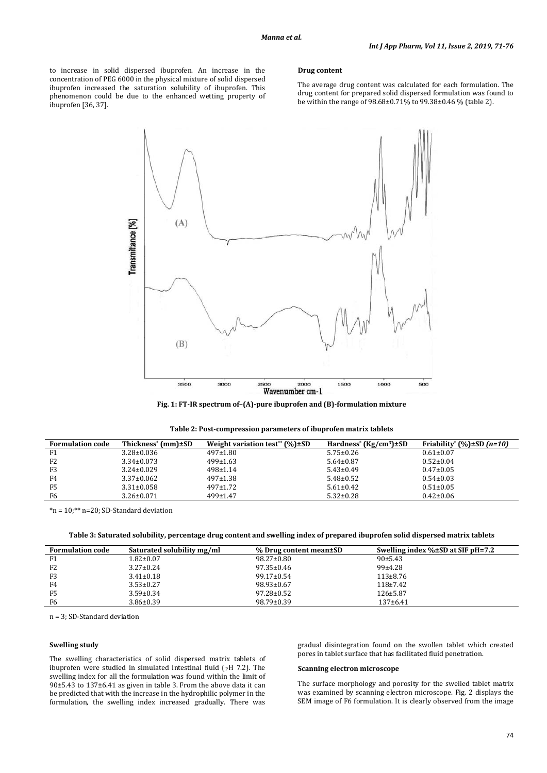to increase in solid dispersed ibuprofen. An increase in the concentration of PEG 6000 in the physical mixture of solid dispersed ibuprofen increased the saturation solubility of ibuprofen. This phenomenon could be due to the enhanced wetting property of ibuprofen [36, 37].

#### **Drug content**

The average drug content was calculated for each formulation. The drug content for prepared solid dispersed formulation was found to be within the range of 98.68±0.71% to 99.38±0.46 % (table 2).





| <b>Formulation code</b> | Thickness <sup>*</sup> (mm)±SD | Weight variation test** $(\%) \pm SD$ | Hardness <sup>*</sup> (Kg/cm <sup>3</sup> ) $\pm$ SD | Friability* $(\%$ )±SD (n=10) |
|-------------------------|--------------------------------|---------------------------------------|------------------------------------------------------|-------------------------------|
| F1                      | $3.28 \pm 0.036$               | $497 \pm 1.80$                        | $5.75 \pm 0.26$                                      | $0.61 \pm 0.07$               |
| F <sub>2</sub>          | $3.34 \pm 0.073$               | $499 \pm 1.63$                        | $5.64 \pm 0.87$                                      | $0.52 \pm 0.04$               |
| F3                      | $3.24 \pm 0.029$               | $498 \pm 1.14$                        | $5.43 \pm 0.49$                                      | $0.47 \pm 0.05$               |
| F4                      | $3.37 \pm 0.062$               | $497 \pm 1.38$                        | $5.48 \pm 0.52$                                      | $0.54 \pm 0.03$               |
| F <sub>5</sub>          | $3.31 \pm 0.058$               | $497+1.72$                            | $5.61 \pm 0.42$                                      | $0.51 \pm 0.05$               |
| F6                      | $3.26 \pm 0.071$               | $499 \pm 1.47$                        | $5.32 \pm 0.28$                                      | $0.42 \pm 0.06$               |

\*n = 10;\*\* n=20; SD-Standard deviation

**Table 3: Saturated solubility, percentage drug content and swelling index of prepared ibuprofen solid dispersed matrix tablets**

| <b>Formulation code</b> | Saturated solubility mg/ml | % Drug content mean±SD | Swelling index $\% \pm SD$ at SIF pH=7.2 |
|-------------------------|----------------------------|------------------------|------------------------------------------|
| F1                      | $1.82 \pm 0.07$            | $98.27 \pm 0.80$       | 90±5.43                                  |
| F <sub>2</sub>          | $3.27 \pm 0.24$            | $97.35 \pm 0.46$       | $99 + 4.28$                              |
| F3                      | $3.41 \pm 0.18$            | $99.17 \pm 0.54$       | $113\pm8.76$                             |
| F4                      | $3.53 \pm 0.27$            | $98.93 \pm 0.67$       | $118+7.42$                               |
| F <sub>5</sub>          | $3.59 \pm 0.34$            | $97.28 \pm 0.52$       | $126 \pm 5.87$                           |
| F6                      | $3.86 \pm 0.39$            | $98.79 \pm 0.39$       | $137+6.41$                               |

n = 3; SD-Standard deviation

# **Swelling study**

The swelling characteristics of solid dispersed matrix tablets of ibuprofen were studied in simulated intestinal fluid ( $pH$  7.2). The swelling index for all the formulation was found within the limit of 90±5.43 to 137±6.41 as given in table 3. From the above data it can be predicted that with the increase in the hydrophilic polymer in the formulation, the swelling index increased gradually. There was

gradual disintegration found on the swollen tablet which created pores in tablet surface that has facilitated fluid penetration.

# **Scanning electron microscope**

The surface morphology and porosity for the swelled tablet matrix was examined by scanning electron microscope. Fig. 2 displays the SEM image of F6 formulation. It is clearly observed from the image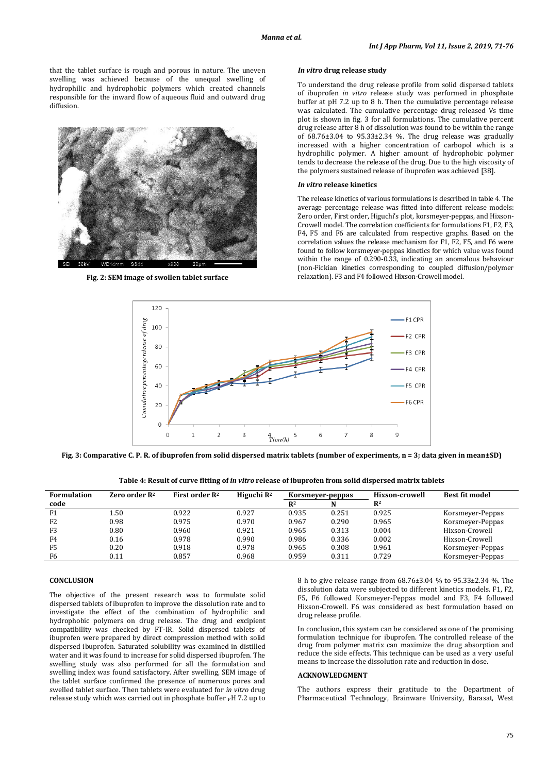that the tablet surface is rough and porous in nature. The uneven swelling was achieved because of the unequal swelling of hydrophilic and hydrophobic polymers which created channels responsible for the inward flow of aqueous fluid and outward drug diffusion.



**Fig. 2: SEM image of swollen tablet surface**

### *In vitro* **drug release study**

To understand the drug release profile from solid dispersed tablets of ibuprofen *in vitro* release study was performed in phosphate buffer at pH 7.2 up to 8 h. Then the cumulative percentage release was calculated. The cumulative percentage drug released Vs time plot is shown in fig. 3 for all formulations. The cumulative percent drug release after 8 h of dissolution was found to be within the range of 68.76±3.04 to 95.33±2.34 %. The drug release was gradually increased with a higher concentration of carbopol which is a hydrophilic polymer. A higher amount of hydrophobic polymer tends to decrease the release of the drug. Due to the high viscosity of the polymers sustained release of ibuprofen was achieved [38].

# *In vitro* **release kinetics**

The release kinetics of various formulations is described in table 4. The average percentage release was fitted into different release models: Zero order, First order, Higuchi's plot, korsmeyer-peppas, and Hixson-Crowell model. The correlation coefficients for formulations F1, F2, F3, F4, F5 and F6 are calculated from respective graphs. Based on the correlation values the release mechanism for F1, F2, F5, and F6 were found to follow korsmeyer-peppas kinetics for which value was found within the range of 0.290-0.33, indicating an anomalous behaviour (non-Fickian kinetics corresponding to coupled diffusion/polymer relaxation). F3 and F4 followed Hixson-Crowell model.



**Fig. 3: Comparative C. P. R. of ibuprofen from solid dispersed matrix tablets (number of experiments, n = 3; data given in mean±SD)**

**Table 4: Result of curve fitting of** *in vitro* **release of ibuprofen from solid dispersed matrix tablets**

| <b>Formulation</b> | Zero order $\mathbb{R}^2$ | First order $\mathbb{R}^2$ | Higuchi $\mathbb{R}^2$ | Korsmeyer-peppas |       |                |                  | Hixson-crowell | Best fit model |
|--------------------|---------------------------|----------------------------|------------------------|------------------|-------|----------------|------------------|----------------|----------------|
| code               |                           |                            |                        | $R^2$            |       | $\mathbf{R}^2$ |                  |                |                |
| F1                 | 1.50                      | 0.922                      | 0.927                  | 0.935            | 0.251 | 0.925          | Korsmeyer-Peppas |                |                |
| F <sub>2</sub>     | 0.98                      | 0.975                      | 0.970                  | 0.967            | 0.290 | 0.965          | Korsmeyer-Peppas |                |                |
| F <sub>3</sub>     | 0.80                      | 0.960                      | 0.921                  | 0.965            | 0.313 | 0.004          | Hixson-Crowell   |                |                |
| F4                 | 0.16                      | 0.978                      | 0.990                  | 0.986            | 0.336 | 0.002          | Hixson-Crowell   |                |                |
| F <sub>5</sub>     | 0.20                      | 0.918                      | 0.978                  | 0.965            | 0.308 | 0.961          | Korsmeyer-Peppas |                |                |
| F6                 | 0.11                      | 0.857                      | 0.968                  | 0.959            | 0.311 | 0.729          | Korsmeyer-Peppas |                |                |

# **CONCLUSION**

The objective of the present research was to formulate solid dispersed tablets of ibuprofen to improve the dissolution rate and to investigate the effect of the combination of hydrophilic and hydrophobic polymers on drug release. The drug and excipient compatibility was checked by FT-IR. Solid dispersed tablets of ibuprofen were prepared by direct compression method with solid dispersed ibuprofen. Saturated solubility was examined in distilled water and it was found to increase for solid dispersed ibuprofen. The swelling study was also performed for all the formulation and swelling index was found satisfactory. After swelling, SEM image of the tablet surface confirmed the presence of numerous pores and swelled tablet surface. Then tablets were evaluated for *in vitro* drug release study which was carried out in phosphate buffer  $_{\rm P}$ H  $7.2$  up to

8 h to give release range from 68.76±3.04 % to 95.33±2.34 %. The dissolution data were subjected to different kinetics models. F1, F2, F5, F6 followed Korsmeyer-Peppas model and F3, F4 followed Hixson-Crowell. F6 was considered as best formulation based on drug release profile.

In conclusion, this system can be considered as one of the promising formulation technique for ibuprofen. The controlled release of the drug from polymer matrix can maximize the drug absorption and reduce the side effects. This technique can be used as a very useful means to increase the dissolution rate and reduction in dose.

#### **ACKNOWLEDGMENT**

The authors express their gratitude to the Department of Pharmaceutical Technology, Brainware University, Barasat, West